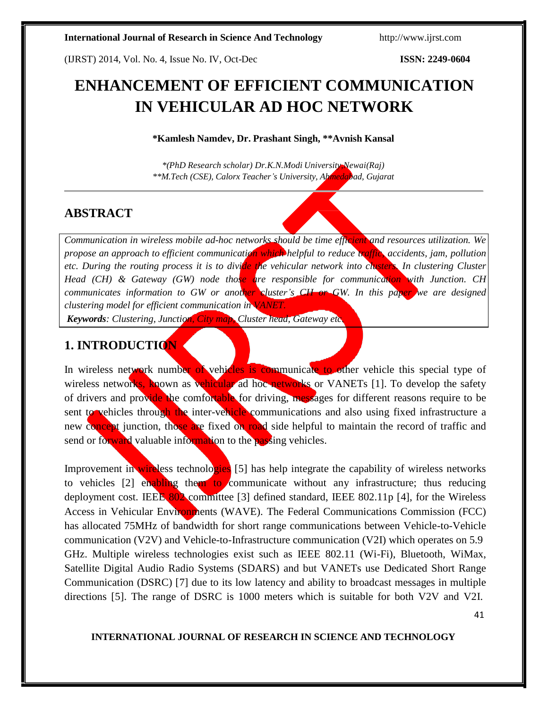(IJRST) 2014, Vol. No. 4, Issue No. IV, Oct-Dec **ISSN: 2249-0604**

# **ENHANCEMENT OF EFFICIENT COMMUNICATION IN VEHICULAR AD HOC NETWORK**

**\*Kamlesh Namdev, Dr. Prashant Singh, \*\*Avnish Kansal**

*\*(PhD Research scholar) Dr.K.N.Modi University,Newai(Raj) \*\*M.Tech (CSE), Calorx Teacher's University, Ahmedabad, Gujarat*

## **ABSTRACT**

*Communication in wireless mobile ad-hoc networks should be time efficient and resources utilization. We propose an approach to efficient communication which helpful to reduce traffic, accidents, jam, pollution etc. During the routing process it is to divide the vehicular network into clusters. In clustering Cluster Head (CH) & Gateway (GW) node those are responsible for communication with Junction. CH communicates information to GW or another cluster's CH or GW. In this paper we are designed clustering model for efficient communication in VANET.*

*Keywords: Clustering, Junction, City map, Cluster head, Gateway etc.*

## **1. INTRODUCTION**

In wireless network number of vehicles is communicate to other vehicle this special type of wireless networks, known as vehicular ad hoc networks or VANETs [1]. To develop the safety of drivers and provide the comfortable for driving, messages for different reasons require to be sent to vehicles through the inter-vehicle communications and also using fixed infrastructure a new concept junction, those are fixed on road side helpful to maintain the record of traffic and send or forward valuable information to the passing vehicles.

Improvement in wireless technologies [5] has help integrate the capability of wireless networks to vehicles [2] enabling them to communicate without any infrastructure; thus reducing deployment cost. IEEE 802 committee [3] defined standard, IEEE 802.11p [4], for the Wireless Access in Vehicular Environments (WAVE). The Federal Communications Commission (FCC) has allocated 75MHz of bandwidth for short range communications between Vehicle-to-Vehicle communication (V2V) and Vehicle-to-Infrastructure communication (V2I) which operates on 5.9 GHz. Multiple wireless technologies exist such as IEEE 802.11 (Wi-Fi), Bluetooth, WiMax, Satellite Digital Audio Radio Systems (SDARS) and but VANETs use Dedicated Short Range Communication (DSRC) [7] due to its low latency and ability to broadcast messages in multiple directions [5]. The range of DSRC is 1000 meters which is suitable for both V2V and V2I.

41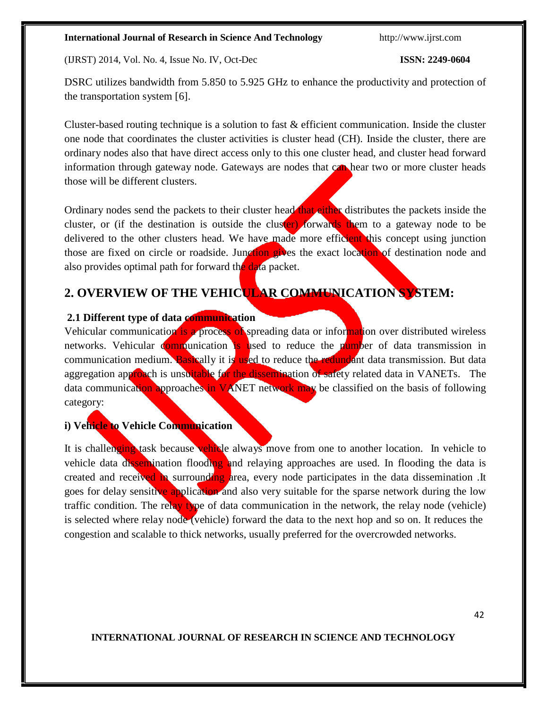(IJRST) 2014, Vol. No. 4, Issue No. IV, Oct-Dec **ISSN: 2249-0604**

DSRC utilizes bandwidth from 5.850 to 5.925 GHz to enhance the productivity and protection of the transportation system [6].

Cluster-based routing technique is a solution to fast & efficient communication. Inside the cluster one node that coordinates the cluster activities is cluster head (CH). Inside the cluster, there are ordinary nodes also that have direct access only to this one cluster head, and cluster head forward information through gateway node. Gateways are nodes that can hear two or more cluster heads those will be different clusters.

Ordinary nodes send the packets to their cluster head that either distributes the packets inside the cluster, or (if the destination is outside the cluster) forwards them to a gateway node to be delivered to the other clusters head. We have made more efficient this concept using junction those are fixed on circle or roadside. Junction gives the exact location of destination node and also provides optimal path for forward the data packet.

## **2. OVERVIEW OF THE VEHICULAR COMMUNICATION SYSTEM:**

### **2.1 Different type of data communication**

Vehicular communication is a process of spreading data or information over distributed wireless networks. Vehicular communication is used to reduce the number of data transmission in communication medium. Basically it is used to reduce the redundant data transmission. But data aggregation approach is unsuitable for the dissemination of safety related data in VANETs. The data communication approaches in VANET network may be classified on the basis of following category:

### **i) Vehicle to Vehicle Communication**

It is challenging task because vehicle always move from one to another location. In vehicle to vehicle data dissemination flooding and relaying approaches are used. In flooding the data is created and received in surrounding area, every node participates in the data dissemination. It goes for delay sensitive application and also very suitable for the sparse network during the low traffic condition. The relay type of data communication in the network, the relay node (vehicle) is selected where relay node (vehicle) forward the data to the next hop and so on. It reduces the congestion and scalable to thick networks, usually preferred for the overcrowded networks.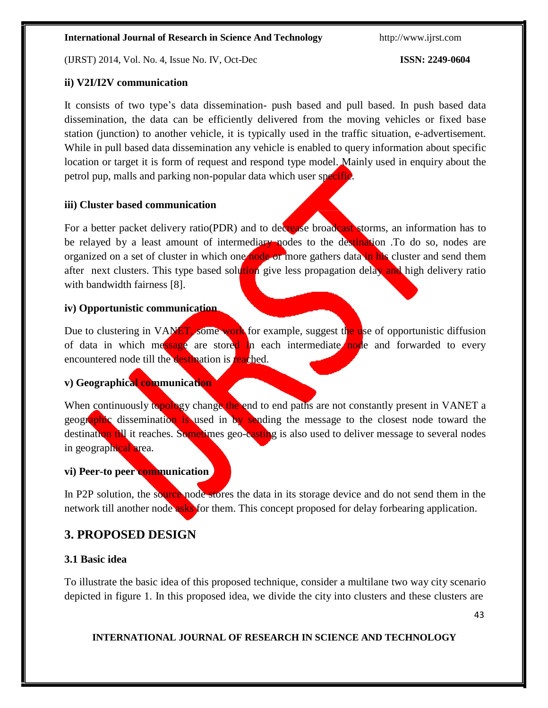(IJRST) 2014, Vol. No. 4, Issue No. IV, Oct-Dec **ISSN: 2249-0604**

### **ii) V2I/I2V communication**

It consists of two type's data dissemination- push based and pull based. In push based data dissemination, the data can be efficiently delivered from the moving vehicles or fixed base station (junction) to another vehicle, it is typically used in the traffic situation, e-advertisement. While in pull based data dissemination any vehicle is enabled to query information about specific location or target it is form of request and respond type model. Mainly used in enquiry about the petrol pup, malls and parking non-popular data which user specific.

### **iii) Cluster based communication**

For a better packet delivery ratio(PDR) and to decrease broadcast storms, an information has to be relayed by a least amount of intermediary nodes to the destination. To do so, nodes are organized on a set of cluster in which one node or more gathers data in his cluster and send them after next clusters. This type based solution give less propagation delay and high delivery ratio with bandwidth fairness [8].

### **iv) Opportunistic communication**

Due to clustering in VANET, some work for example, suggest the use of opportunistic diffusion of data in which message are stored in each intermediate node and forwarded to every encountered node till the destination is reached.

### **v) Geographical communication**

When continuously topology change the end to end paths are not constantly present in VANET a geographic dissemination is used in by sending the message to the closest node toward the destination till it reaches. Sometimes geo-casting is also used to deliver message to several nodes in geographical area.

### **vi) Peer-to peer communication**

In P2P solution, the source node stores the data in its storage device and do not send them in the network till another node asks for them. This concept proposed for delay forbearing application.

## **3. PROPOSED DESIGN**

### **3.1 Basic idea**

To illustrate the basic idea of this proposed technique, consider a multilane two way city scenario depicted in figure 1. In this proposed idea, we divide the city into clusters and these clusters are

43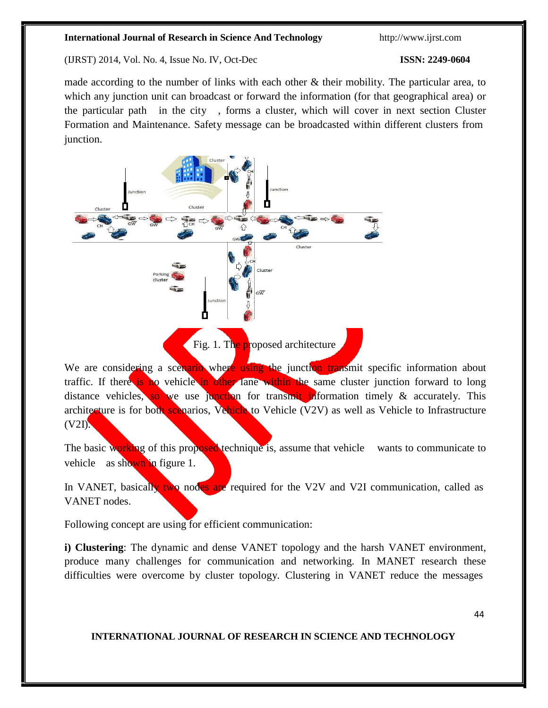(IJRST) 2014, Vol. No. 4, Issue No. IV, Oct-Dec **ISSN: 2249-0604**

made according to the number of links with each other  $\&$  their mobility. The particular area, to which any junction unit can broadcast or forward the information (for that geographical area) or the particular path in the city , forms a cluster, which will cover in next section Cluster Formation and Maintenance. Safety message can be broadcasted within different clusters from junction.



Fig. 1. The proposed architecture

We are considering a scenario where using the junction transmit specific information about traffic. If there is no vehicle in other lane within the same cluster junction forward to long distance vehicles, so we use junction for transmit information timely  $\&$  accurately. This architecture is for both scenarios, Vehicle to Vehicle (V2V) as well as Vehicle to Infrastructure  $(V2I)$ .

The basic working of this proposed technique is, assume that vehicle wants to communicate to vehicle as shown in figure 1.

In VANET, basically two nodes are required for the V2V and V2I communication, called as VANET nodes.

Following concept are using for efficient communication:

**i) Clustering**: The dynamic and dense VANET topology and the harsh VANET environment, produce many challenges for communication and networking. In MANET research these difficulties were overcome by cluster topology. Clustering in VANET reduce the messages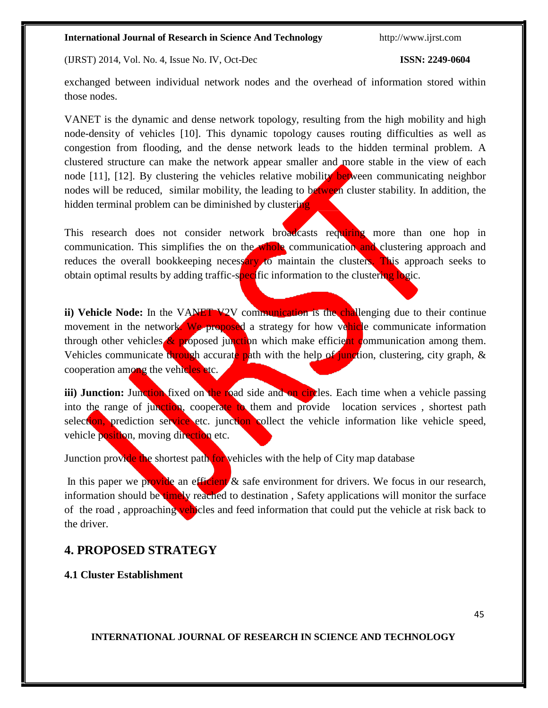(IJRST) 2014, Vol. No. 4, Issue No. IV, Oct-Dec **ISSN: 2249-0604**

exchanged between individual network nodes and the overhead of information stored within those nodes.

VANET is the dynamic and dense network topology, resulting from the high mobility and high node-density of vehicles [10]. This dynamic topology causes routing difficulties as well as congestion from flooding, and the dense network leads to the hidden terminal problem. A clustered structure can make the network appear smaller and more stable in the view of each node [11], [12]. By clustering the vehicles relative mobility between communicating neighbor nodes will be reduced, similar mobility, the leading to between cluster stability. In addition, the hidden terminal problem can be diminished by clustering

This research does not consider network broadcasts requiring more than one hop in communication. This simplifies the on the whole communication and clustering approach and reduces the overall bookkeeping necessary to maintain the clusters. This approach seeks to obtain optimal results by adding traffic-specific information to the clustering logic.

**ii)** Vehicle Node: In the VANET V2V communication is the challenging due to their continue movement in the network. We proposed a strategy for how vehicle communicate information through other vehicles  $\&$  proposed junction which make efficient communication among them. Vehicles communicate through accurate path with the help of junction, clustering, city graph,  $\&$ cooperation among the vehicles etc.

iii) Junction: Junction fixed on the road side and on circles. Each time when a vehicle passing into the range of junction, cooperate to them and provide location services, shortest path selection, prediction service etc. junction collect the vehicle information like vehicle speed, vehicle position, moving direction etc.

Junction provide the shortest path for vehicles with the help of City map database

In this paper we provide an efficient  $\&$  safe environment for drivers. We focus in our research, information should be timely reached to destination, Safety applications will monitor the surface of the road, approaching vehicles and feed information that could put the vehicle at risk back to the driver.

## **4. PROPOSED STRATEGY**

**4.1 Cluster Establishment**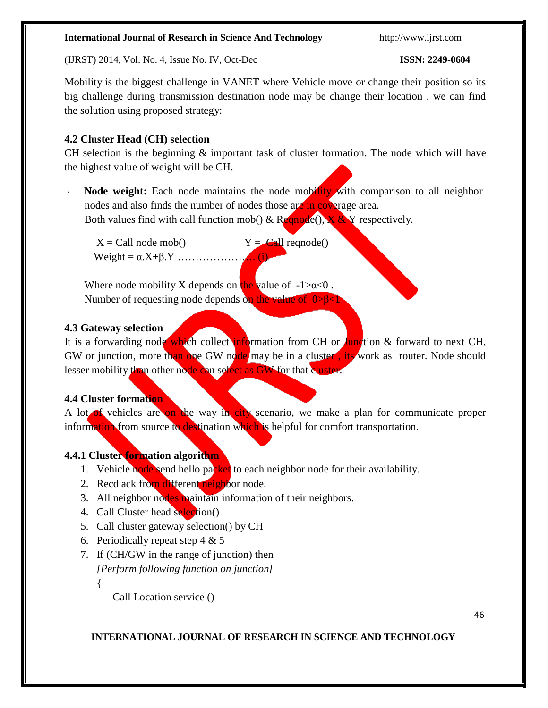(IJRST) 2014, Vol. No. 4, Issue No. IV, Oct-Dec **ISSN: 2249-0604**

Mobility is the biggest challenge in VANET where Vehicle move or change their position so its big challenge during transmission destination node may be change their location , we can find the solution using proposed strategy:

### **4.2 Cluster Head (CH) selection**

CH selection is the beginning & important task of cluster formation. The node which will have the highest value of weight will be CH.

Node weight: Each node maintains the node mobility with comparison to all neighbor nodes and also finds the number of nodes those are in coverage area. Both values find with call function mob() & Require  $(x, x)$  and  $(x, y)$  respectively.

 $X = \text{Call node mob}()$   $Y = \text{Call range}(()$  $Weight = \alpha.X + \beta.Y$  ………………...

Where node mobility X depends on the value of  $-1 > \alpha < 0$ . Number of requesting node depends on the value of 0>β<1

### **4.3 Gateway selection**

It is a forwarding node which collect information from CH or Junction & forward to next CH, GW or junction, more than one GW node may be in a cluster, its work as router. Node should lesser mobility than other node can select as GW for that cluster.

### **4.4 Cluster formation**

A lot of vehicles are on the way in city scenario, we make a plan for communicate proper information from source to destination which is helpful for comfort transportation.

### **4.4.1 Cluster formation algorithm**

- 1. Vehicle node send hello packet to each neighbor node for their availability.
- 2. Recd ack from different neighbor node.
- 3. All neighbor nodes maintain information of their neighbors.
- 4. Call Cluster head selection()
- 5. Call cluster gateway selection() by CH
- 6. Periodically repeat step  $4 \& 5$
- 7. If (CH/GW in the range of junction) then *[Perform following function on junction]* {

Call Location service ()

46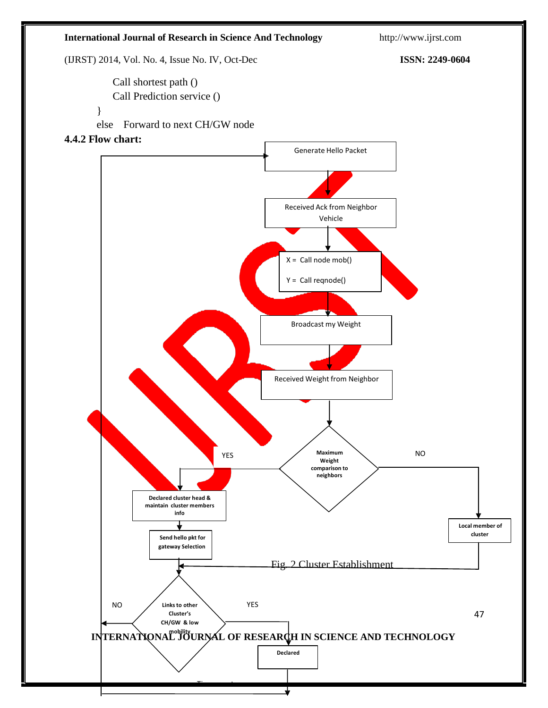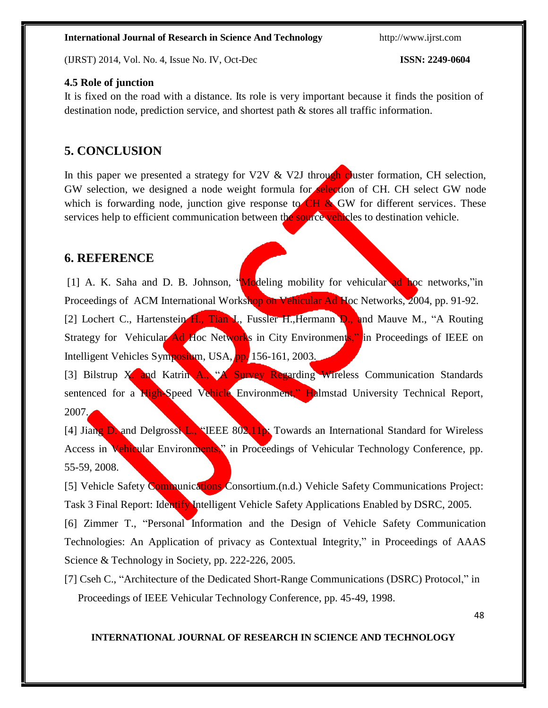(IJRST) 2014, Vol. No. 4, Issue No. IV, Oct-Dec **ISSN: 2249-0604**

### **4.5 Role of junction**

It is fixed on the road with a distance. Its role is very important because it finds the position of destination node, prediction service, and shortest path & stores all traffic information.

### **5. CONCLUSION**

In this paper we presented a strategy for V2V  $&$  V2J through cluster formation, CH selection, GW selection, we designed a node weight formula for **selection** of CH. CH select GW node which is forwarding node, junction give response to  $CH & GW$  for different services. These services help to efficient communication between the source vehicles to destination vehicle.

### **6. REFERENCE**

[1] A. K. Saha and D. B. Johnson, "Modeling mobility for vehicular ad hoc networks,"in Proceedings of ACM International Workshop on Vehicular Ad Hoc Networks, 2004, pp. 91-92. [2] Lochert C., Hartenstein H., Tian J., Fussler H., Hermann D., and Mauve M., "A Routing Strategy for Vehicular Ad Hoc Networks in City Environments," in Proceedings of IEEE on Intelligent Vehicles Symposium, USA, pp. 156-161, 2003.

[3] Bilstrup X. and Katrin A., "A Survey Regarding Wireless Communication Standards sentenced for a High-Speed Vehicle Environment," Halmstad University Technical Report,  $2007.$ 

[4] Jiang D. and Delgrossi L., "IEEE 802.11p: Towards an International Standard for Wireless Access in Vehicular Environments," in Proceedings of Vehicular Technology Conference, pp. 55-59, 2008.

[5] Vehicle Safety Communications Consortium.(n.d.) Vehicle Safety Communications Project: Task 3 Final Report: Identify Intelligent Vehicle Safety Applications Enabled by DSRC, 2005.

[6] Zimmer T., "Personal Information and the Design of Vehicle Safety Communication Technologies: An Application of privacy as Contextual Integrity," in Proceedings of AAAS Science & Technology in Society, pp. 222-226, 2005.

[7] Cseh C., "Architecture of the Dedicated Short-Range Communications (DSRC) Protocol," in Proceedings of IEEE Vehicular Technology Conference, pp. 45-49, 1998.

48